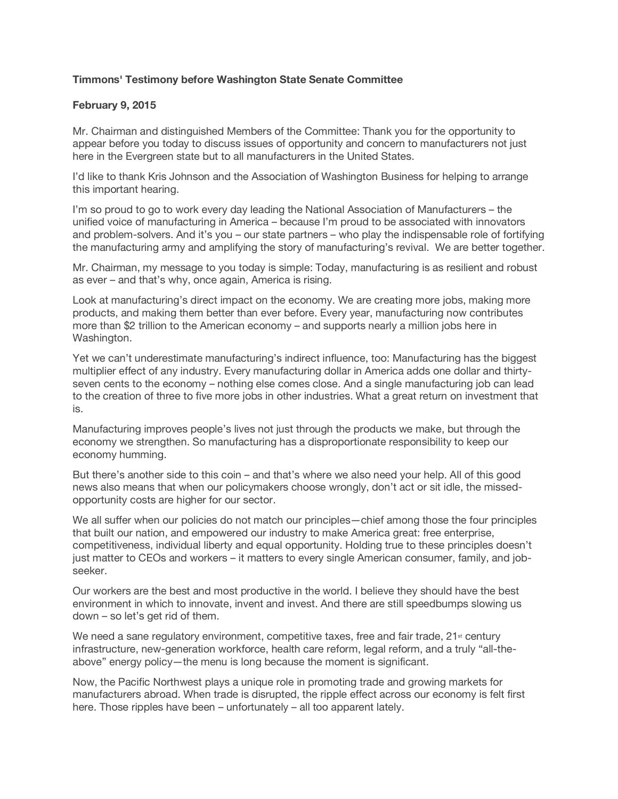## **Timmons' Testimony before Washington State Senate Committee**

## **February 9, 2015**

Mr. Chairman and distinguished Members of the Committee: Thank you for the opportunity to appear before you today to discuss issues of opportunity and concern to manufacturers not just here in the Evergreen state but to all manufacturers in the United States.

I'd like to thank Kris Johnson and the Association of Washington Business for helping to arrange this important hearing.

I'm so proud to go to work every day leading the National Association of Manufacturers – the unified voice of manufacturing in America – because I'm proud to be associated with innovators and problem-solvers. And it's you – our state partners – who play the indispensable role of fortifying the manufacturing army and amplifying the story of manufacturing's revival. We are better together.

Mr. Chairman, my message to you today is simple: Today, manufacturing is as resilient and robust as ever – and that's why, once again, America is rising.

Look at manufacturing's direct impact on the economy. We are creating more jobs, making more products, and making them better than ever before. Every year, manufacturing now contributes more than \$2 trillion to the American economy – and supports nearly a million jobs here in Washington.

Yet we can't underestimate manufacturing's indirect influence, too: Manufacturing has the biggest multiplier effect of any industry. Every manufacturing dollar in America adds one dollar and thirtyseven cents to the economy – nothing else comes close. And a single manufacturing job can lead to the creation of three to five more jobs in other industries. What a great return on investment that is.

Manufacturing improves people's lives not just through the products we make, but through the economy we strengthen. So manufacturing has a disproportionate responsibility to keep our economy humming.

But there's another side to this coin – and that's where we also need your help. All of this good news also means that when our policymakers choose wrongly, don't act or sit idle, the missedopportunity costs are higher for our sector.

We all suffer when our policies do not match our principles—chief among those the four principles that built our nation, and empowered our industry to make America great: free enterprise, competitiveness, individual liberty and equal opportunity. Holding true to these principles doesn't just matter to CEOs and workers – it matters to every single American consumer, family, and jobseeker.

Our workers are the best and most productive in the world. I believe they should have the best environment in which to innovate, invent and invest. And there are still speedbumps slowing us down – so let's get rid of them.

We need a sane regulatory environment, competitive taxes, free and fair trade,  $21$ <sup>st</sup> century infrastructure, new-generation workforce, health care reform, legal reform, and a truly "all-theabove" energy policy—the menu is long because the moment is significant.

Now, the Pacific Northwest plays a unique role in promoting trade and growing markets for manufacturers abroad. When trade is disrupted, the ripple effect across our economy is felt first here. Those ripples have been – unfortunately – all too apparent lately.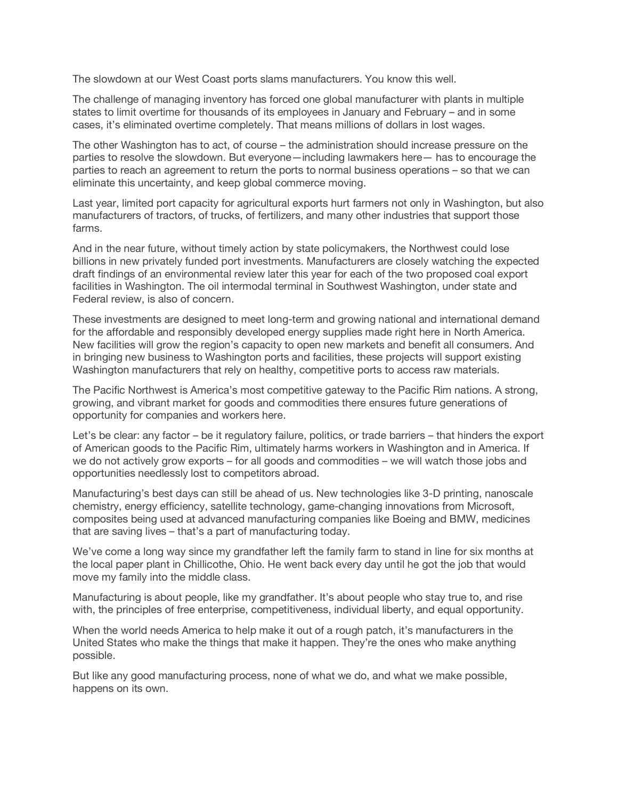The slowdown at our West Coast ports slams manufacturers. You know this well.

The challenge of managing inventory has forced one global manufacturer with plants in multiple states to limit overtime for thousands of its employees in January and February – and in some cases, it's eliminated overtime completely. That means millions of dollars in lost wages.

The other Washington has to act, of course – the administration should increase pressure on the parties to resolve the slowdown. But everyone—including lawmakers here— has to encourage the parties to reach an agreement to return the ports to normal business operations – so that we can eliminate this uncertainty, and keep global commerce moving.

Last year, limited port capacity for agricultural exports hurt farmers not only in Washington, but also manufacturers of tractors, of trucks, of fertilizers, and many other industries that support those farms.

And in the near future, without timely action by state policymakers, the Northwest could lose billions in new privately funded port investments. Manufacturers are closely watching the expected draft findings of an environmental review later this year for each of the two proposed coal export facilities in Washington. The oil intermodal terminal in Southwest Washington, under state and Federal review, is also of concern.

These investments are designed to meet long-term and growing national and international demand for the affordable and responsibly developed energy supplies made right here in North America. New facilities will grow the region's capacity to open new markets and benefit all consumers. And in bringing new business to Washington ports and facilities, these projects will support existing Washington manufacturers that rely on healthy, competitive ports to access raw materials.

The Pacific Northwest is America's most competitive gateway to the Pacific Rim nations. A strong, growing, and vibrant market for goods and commodities there ensures future generations of opportunity for companies and workers here.

Let's be clear: any factor – be it regulatory failure, politics, or trade barriers – that hinders the export of American goods to the Pacific Rim, ultimately harms workers in Washington and in America. If we do not actively grow exports – for all goods and commodities – we will watch those jobs and opportunities needlessly lost to competitors abroad.

Manufacturing's best days can still be ahead of us. New technologies like 3-D printing, nanoscale chemistry, energy efficiency, satellite technology, game-changing innovations from Microsoft, composites being used at advanced manufacturing companies like Boeing and BMW, medicines that are saving lives – that's a part of manufacturing today.

We've come a long way since my grandfather left the family farm to stand in line for six months at the local paper plant in Chillicothe, Ohio. He went back every day until he got the job that would move my family into the middle class.

Manufacturing is about people, like my grandfather. It's about people who stay true to, and rise with, the principles of free enterprise, competitiveness, individual liberty, and equal opportunity.

When the world needs America to help make it out of a rough patch, it's manufacturers in the United States who make the things that make it happen. They're the ones who make anything possible.

But like any good manufacturing process, none of what we do, and what we make possible, happens on its own.